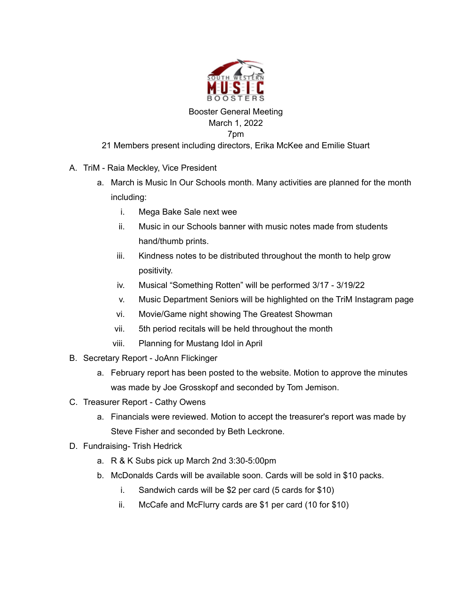

## Booster General Meeting March 1, 2022 7pm

## 21 Members present including directors, Erika McKee and Emilie Stuart

- A. TriM Raia Meckley, Vice President
	- a. March is Music In Our Schools month. Many activities are planned for the month including:
		- i. Mega Bake Sale next wee
		- ii. Music in our Schools banner with music notes made from students hand/thumb prints.
		- iii. Kindness notes to be distributed throughout the month to help grow positivity.
		- iv. Musical "Something Rotten" will be performed 3/17 3/19/22
		- v. Music Department Seniors will be highlighted on the TriM Instagram page
		- vi. Movie/Game night showing The Greatest Showman
		- vii. 5th period recitals will be held throughout the month
		- viii. Planning for Mustang Idol in April
- B. Secretary Report JoAnn Flickinger
	- a. February report has been posted to the website. Motion to approve the minutes was made by Joe Grosskopf and seconded by Tom Jemison.
- C. Treasurer Report Cathy Owens
	- a. Financials were reviewed. Motion to accept the treasurer's report was made by Steve Fisher and seconded by Beth Leckrone.
- D. Fundraising- Trish Hedrick
	- a. R & K Subs pick up March 2nd 3:30-5:00pm
	- b. McDonalds Cards will be available soon. Cards will be sold in \$10 packs.
		- i. Sandwich cards will be \$2 per card (5 cards for \$10)
		- ii. McCafe and McFlurry cards are \$1 per card (10 for \$10)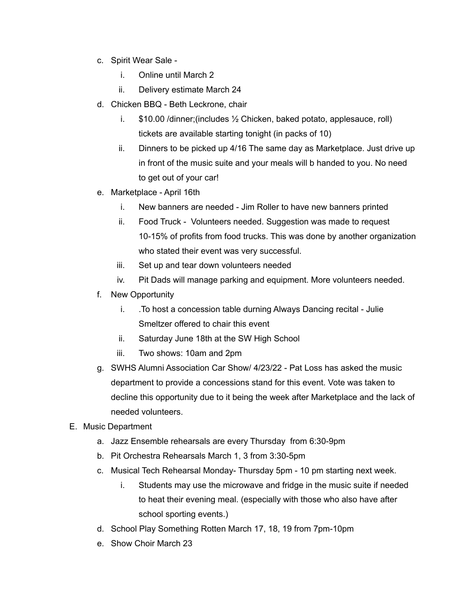- c. Spirit Wear Sale
	- i. Online until March 2
	- ii. Delivery estimate March 24
- d. Chicken BBQ Beth Leckrone, chair
	- i. \$10.00 /dinner;(includes ½ Chicken, baked potato, applesauce, roll) tickets are available starting tonight (in packs of 10)
	- ii. Dinners to be picked up 4/16 The same day as Marketplace. Just drive up in front of the music suite and your meals will b handed to you. No need to get out of your car!
- e. Marketplace April 16th
	- i. New banners are needed Jim Roller to have new banners printed
	- ii. Food Truck Volunteers needed. Suggestion was made to request 10-15% of profits from food trucks. This was done by another organization who stated their event was very successful.
	- iii. Set up and tear down volunteers needed
	- iv. Pit Dads will manage parking and equipment. More volunteers needed.
- f. New Opportunity
	- i. .To host a concession table durning Always Dancing recital Julie Smeltzer offered to chair this event
	- ii. Saturday June 18th at the SW High School
	- iii. Two shows: 10am and 2pm
- g. SWHS Alumni Association Car Show/ 4/23/22 Pat Loss has asked the music department to provide a concessions stand for this event. Vote was taken to decline this opportunity due to it being the week after Marketplace and the lack of needed volunteers.
- E. Music Department
	- a. Jazz Ensemble rehearsals are every Thursday from 6:30-9pm
	- b. Pit Orchestra Rehearsals March 1, 3 from 3:30-5pm
	- c. Musical Tech Rehearsal Monday- Thursday 5pm 10 pm starting next week.
		- i. Students may use the microwave and fridge in the music suite if needed to heat their evening meal. (especially with those who also have after school sporting events.)
	- d. School Play Something Rotten March 17, 18, 19 from 7pm-10pm
	- e. Show Choir March 23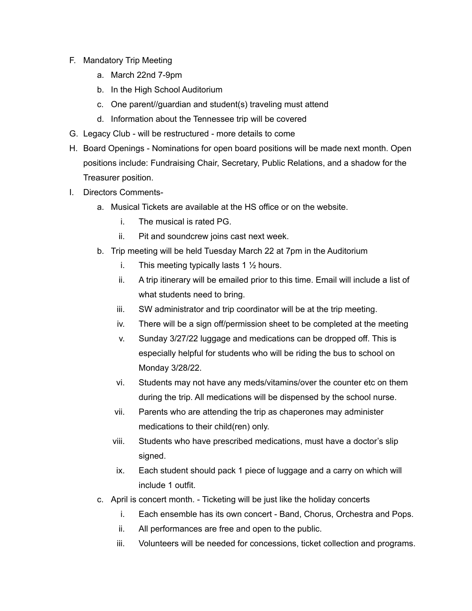- F. Mandatory Trip Meeting
	- a. March 22nd 7-9pm
	- b. In the High School Auditorium
	- c. One parent//guardian and student(s) traveling must attend
	- d. Information about the Tennessee trip will be covered
- G. Legacy Club will be restructured more details to come
- H. Board Openings Nominations for open board positions will be made next month. Open positions include: Fundraising Chair, Secretary, Public Relations, and a shadow for the Treasurer position.
- I. Directors Comments
	- a. Musical Tickets are available at the HS office or on the website.
		- i. The musical is rated PG.
		- ii. Pit and soundcrew joins cast next week.
	- b. Trip meeting will be held Tuesday March 22 at 7pm in the Auditorium
		- i. This meeting typically lasts 1  $\frac{1}{2}$  hours.
		- ii. A trip itinerary will be emailed prior to this time. Email will include a list of what students need to bring.
		- iii. SW administrator and trip coordinator will be at the trip meeting.
		- iv. There will be a sign off/permission sheet to be completed at the meeting
		- v. Sunday 3/27/22 luggage and medications can be dropped off. This is especially helpful for students who will be riding the bus to school on Monday 3/28/22.
		- vi. Students may not have any meds/vitamins/over the counter etc on them during the trip. All medications will be dispensed by the school nurse.
		- vii. Parents who are attending the trip as chaperones may administer medications to their child(ren) only.
		- viii. Students who have prescribed medications, must have a doctor's slip signed.
		- ix. Each student should pack 1 piece of luggage and a carry on which will include 1 outfit.
	- c. April is concert month. Ticketing will be just like the holiday concerts
		- i. Each ensemble has its own concert Band, Chorus, Orchestra and Pops.
		- ii. All performances are free and open to the public.
		- iii. Volunteers will be needed for concessions, ticket collection and programs.